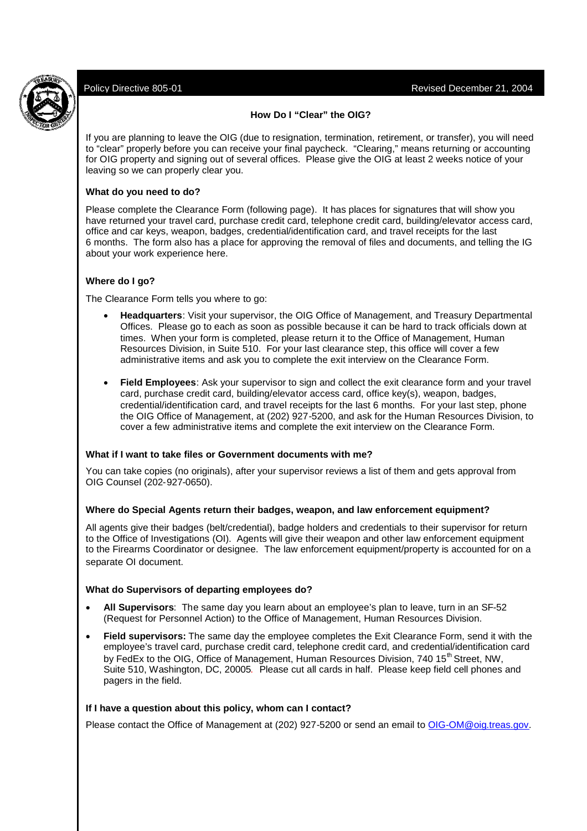

### **How Do I "Clear" the OIG?**

If you are planning to leave the OIG (due to resignation, termination, retirement, or transfer), you will need to "clear" properly before you can receive your final paycheck. "Clearing," means returning or accounting for OIG property and signing out of several offices. Please give the OIG at least 2 weeks notice of your leaving so we can properly clear you.

### **What do you need to do?**

Please complete the Clearance Form (following page). It has places for signatures that will show you have returned your travel card, purchase credit card, telephone credit card, building/elevator access card, office and car keys, weapon, badges, credential/identification card, and travel receipts for the last 6 months. The form also has a place for approving the removal of files and documents, and telling the IG about your work experience here.

# **Where do I go?**

The Clearance Form tells you where to go:

- **Headquarters**: Visit your supervisor, the OIG Office of Management, and Treasury Departmental Offices. Please go to each as soon as possible because it can be hard to track officials down at times. When your form is completed, please return it to the Office of Management, Human Resources Division, in Suite 510. For your last clearance step, this office will cover a few administrative items and ask you to complete the exit interview on the Clearance Form.
- **Field Employees**: Ask your supervisor to sign and collect the exit clearance form and your travel card, purchase credit card, building/elevator access card, office key(s), weapon, badges, credential/identification card, and travel receipts for the last 6 months. For your last step, phone the OIG Office of Management, at (202) 927-5200, and ask for the Human Resources Division, to cover a few administrative items and complete the exit interview on the Clearance Form.

#### **What if I want to take files or Government documents with me?**

You can take copies (no originals), after your supervisor reviews a list of them and gets approval from OIG Counsel (202-927-0650).

#### **Where do Special Agents return their badges, weapon, and law enforcement equipment?**

All agents give their badges (belt/credential), badge holders and credentials to their supervisor for return to the Office of Investigations (OI). Agents will give their weapon and other law enforcement equipment to the Firearms Coordinator or designee. The law enforcement equipment/property is accounted for on a separate OI document.

#### **What do Supervisors of departing employees do?**

- **All Supervisors**: The same day you learn about an employee's plan to leave, turn in an SF-52 (Request for Personnel Action) to the Office of Management, Human Resources Division.
- **Field supervisors:** The same day the employee completes the Exit Clearance Form, send it with the employee's travel card, purchase credit card, telephone credit card, and credential/identification card by FedEx to the OIG, Office of Management, Human Resources Division, 740 15<sup>th</sup> Street. NW. Suite 510, Washington, DC, 20005. Please cut all cards in half. Please keep field cell phones and pagers in the field.

# **If I have a question about this policy, whom can I contact?**

Please contact the Office of Management at (202) 927-5200 or send an email to OIG-OM@oig.treas.gov.